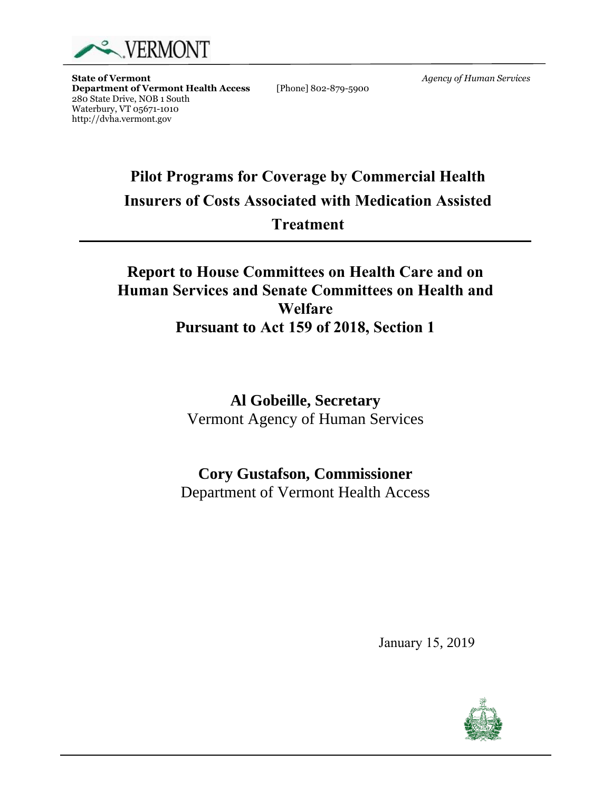

**State of Vermont**<br> **Department of Vermont Health Access** [Phone] 802-879-5900 *Agency of Human Services* **Department of Vermont Health Access** 280 State Drive, NOB 1 South Waterbury, VT 05671-1010 http://dvha.vermont.gov

> **Pilot Programs for Coverage by Commercial Health Insurers of Costs Associated with Medication Assisted Treatment**

# **Report to House Committees on Health Care and on Human Services and Senate Committees on Health and Welfare Pursuant to Act 159 of 2018, Section 1**

**Al Gobeille, Secretary**  Vermont Agency of Human Services

# **Cory Gustafson, Commissioner**

Department of Vermont Health Access

January 15, 2019

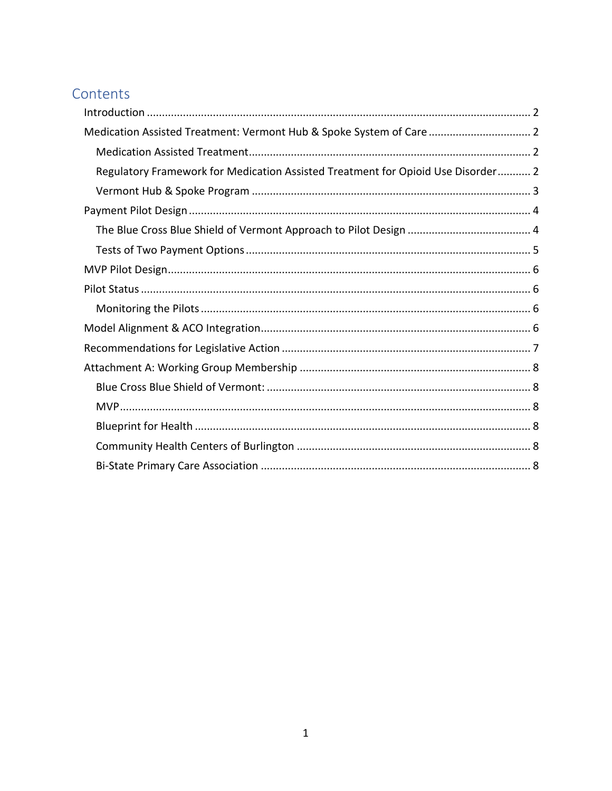## Contents

<span id="page-1-0"></span>

| Medication Assisted Treatment: Vermont Hub & Spoke System of Care  2             |  |
|----------------------------------------------------------------------------------|--|
|                                                                                  |  |
| Regulatory Framework for Medication Assisted Treatment for Opioid Use Disorder 2 |  |
|                                                                                  |  |
|                                                                                  |  |
|                                                                                  |  |
|                                                                                  |  |
|                                                                                  |  |
|                                                                                  |  |
|                                                                                  |  |
|                                                                                  |  |
|                                                                                  |  |
|                                                                                  |  |
|                                                                                  |  |
|                                                                                  |  |
|                                                                                  |  |
|                                                                                  |  |
|                                                                                  |  |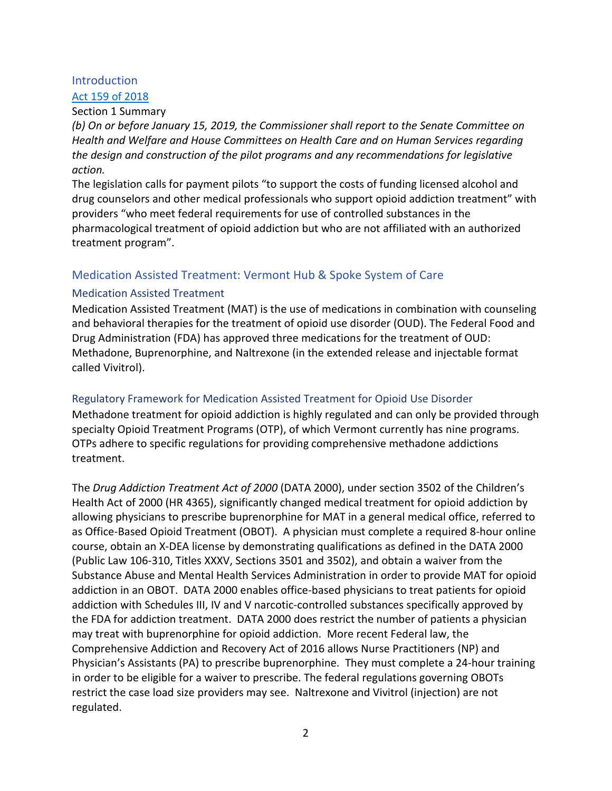## Introduction

## Act 159 [of 2018](https://legislature.vermont.gov/assets/Documents/2018/Docs/ACTS/ACT159/ACT159%20As%20Enacted.pdf)

#### Section 1 Summary

*(b) On or before January 15, 2019, the Commissioner shall report to the Senate Committee on Health and Welfare and House Committees on Health Care and on Human Services regarding the design and construction of the pilot programs and any recommendations for legislative action.*

The legislation calls for payment pilots "to support the costs of funding licensed alcohol and drug counselors and other medical professionals who support opioid addiction treatment" with providers "who meet federal requirements for use of controlled substances in the pharmacological treatment of opioid addiction but who are not affiliated with an authorized treatment program".

## <span id="page-2-0"></span>Medication Assisted Treatment: Vermont Hub & Spoke System of Care

### <span id="page-2-1"></span>Medication Assisted Treatment

Medication Assisted Treatment (MAT) is the use of medications in combination with counseling and behavioral therapies for the treatment of opioid use disorder (OUD). The Federal Food and Drug Administration (FDA) has approved three medications for the treatment of OUD: Methadone, Buprenorphine, and Naltrexone (in the extended release and injectable format called Vivitrol).

## <span id="page-2-2"></span>Regulatory Framework for Medication Assisted Treatment for Opioid Use Disorder

Methadone treatment for opioid addiction is highly regulated and can only be provided through specialty Opioid Treatment Programs (OTP), of which Vermont currently has nine programs. OTPs adhere to specific regulations for providing comprehensive methadone addictions treatment.

The *Drug Addiction Treatment Act of 2000* (DATA 2000), under section 3502 of the Children's Health Act of 2000 (HR 4365), significantly changed medical treatment for opioid addiction by allowing physicians to prescribe buprenorphine for MAT in a general medical office, referred to as Office-Based Opioid Treatment (OBOT). A physician must complete a required 8-hour online course, obtain an X-DEA license by demonstrating qualifications as defined in the DATA 2000 (Public Law 106-310, Titles XXXV, Sections 3501 and 3502), and obtain a waiver from the Substance Abuse and Mental Health Services Administration in order to provide MAT for opioid addiction in an OBOT. DATA 2000 enables office-based physicians to treat patients for opioid addiction with Schedules III, IV and V narcotic-controlled substances specifically approved by the FDA for addiction treatment. DATA 2000 does restrict the number of patients a physician may treat with buprenorphine for opioid addiction. More recent Federal law, the Comprehensive Addiction and Recovery Act of 2016 allows Nurse Practitioners (NP) and Physician's Assistants (PA) to prescribe buprenorphine. They must complete a 24-hour training in order to be eligible for a waiver to prescribe. The federal regulations governing OBOTs restrict the case load size providers may see. Naltrexone and Vivitrol (injection) are not regulated.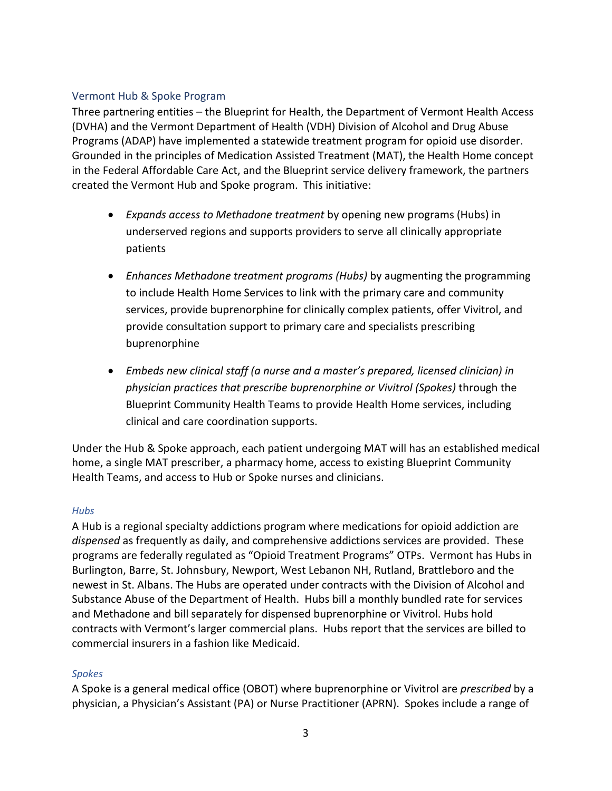#### <span id="page-3-0"></span>Vermont Hub & Spoke Program

Three partnering entities – the Blueprint for Health, the Department of Vermont Health Access (DVHA) and the Vermont Department of Health (VDH) Division of Alcohol and Drug Abuse Programs (ADAP) have implemented a statewide treatment program for opioid use disorder. Grounded in the principles of Medication Assisted Treatment (MAT), the Health Home concept in the Federal Affordable Care Act, and the Blueprint service delivery framework, the partners created the Vermont Hub and Spoke program. This initiative:

- *Expands access to Methadone treatment* by opening new programs (Hubs) in underserved regions and supports providers to serve all clinically appropriate patients
- *Enhances Methadone treatment programs (Hubs)* by augmenting the programming to include Health Home Services to link with the primary care and community services, provide buprenorphine for clinically complex patients, offer Vivitrol, and provide consultation support to primary care and specialists prescribing buprenorphine
- *Embeds new clinical staff (a nurse and a master's prepared, licensed clinician) in physician practices that prescribe buprenorphine or Vivitrol (Spokes)* through the Blueprint Community Health Teams to provide Health Home services, including clinical and care coordination supports.

Under the Hub & Spoke approach, each patient undergoing MAT will has an established medical home, a single MAT prescriber, a pharmacy home, access to existing Blueprint Community Health Teams, and access to Hub or Spoke nurses and clinicians.

#### *Hubs*

A Hub is a regional specialty addictions program where medications for opioid addiction are *dispensed* as frequently as daily, and comprehensive addictions services are provided. These programs are federally regulated as "Opioid Treatment Programs" OTPs. Vermont has Hubs in Burlington, Barre, St. Johnsbury, Newport, West Lebanon NH, Rutland, Brattleboro and the newest in St. Albans. The Hubs are operated under contracts with the Division of Alcohol and Substance Abuse of the Department of Health. Hubs bill a monthly bundled rate for services and Methadone and bill separately for dispensed buprenorphine or Vivitrol. Hubs hold contracts with Vermont's larger commercial plans. Hubs report that the services are billed to commercial insurers in a fashion like Medicaid.

#### *Spokes*

A Spoke is a general medical office (OBOT) where buprenorphine or Vivitrol are *prescribed* by a physician, a Physician's Assistant (PA) or Nurse Practitioner (APRN). Spokes include a range of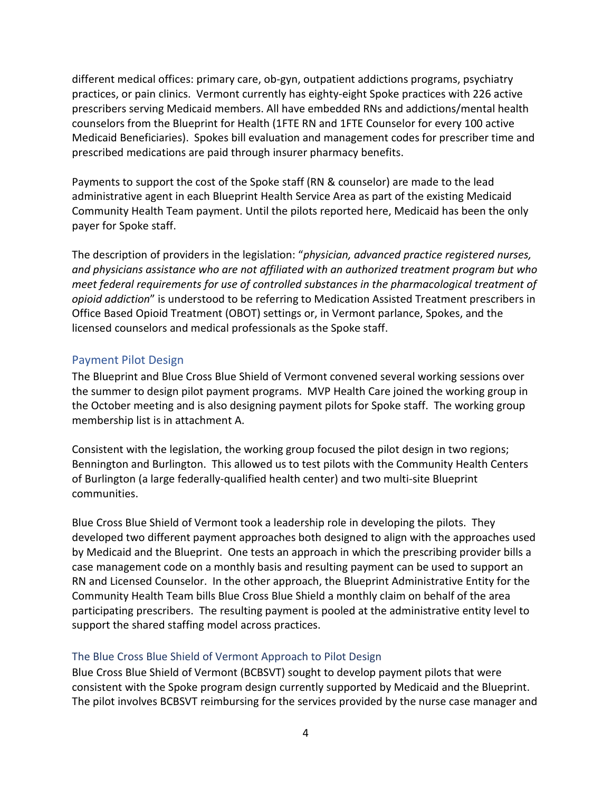different medical offices: primary care, ob-gyn, outpatient addictions programs, psychiatry practices, or pain clinics. Vermont currently has eighty-eight Spoke practices with 226 active prescribers serving Medicaid members. All have embedded RNs and addictions/mental health counselors from the Blueprint for Health (1FTE RN and 1FTE Counselor for every 100 active Medicaid Beneficiaries). Spokes bill evaluation and management codes for prescriber time and prescribed medications are paid through insurer pharmacy benefits.

Payments to support the cost of the Spoke staff (RN & counselor) are made to the lead administrative agent in each Blueprint Health Service Area as part of the existing Medicaid Community Health Team payment. Until the pilots reported here, Medicaid has been the only payer for Spoke staff.

The description of providers in the legislation: "*physician, advanced practice registered nurses, and physicians assistance who are not affiliated with an authorized treatment program but who meet federal requirements for use of controlled substances in the pharmacological treatment of opioid addiction*" is understood to be referring to Medication Assisted Treatment prescribers in Office Based Opioid Treatment (OBOT) settings or, in Vermont parlance, Spokes, and the licensed counselors and medical professionals as the Spoke staff.

#### <span id="page-4-0"></span>Payment Pilot Design

The Blueprint and Blue Cross Blue Shield of Vermont convened several working sessions over the summer to design pilot payment programs. MVP Health Care joined the working group in the October meeting and is also designing payment pilots for Spoke staff. The working group membership list is in attachment A.

Consistent with the legislation, the working group focused the pilot design in two regions; Bennington and Burlington. This allowed us to test pilots with the Community Health Centers of Burlington (a large federally-qualified health center) and two multi-site Blueprint communities.

Blue Cross Blue Shield of Vermont took a leadership role in developing the pilots. They developed two different payment approaches both designed to align with the approaches used by Medicaid and the Blueprint. One tests an approach in which the prescribing provider bills a case management code on a monthly basis and resulting payment can be used to support an RN and Licensed Counselor. In the other approach, the Blueprint Administrative Entity for the Community Health Team bills Blue Cross Blue Shield a monthly claim on behalf of the area participating prescribers. The resulting payment is pooled at the administrative entity level to support the shared staffing model across practices.

#### <span id="page-4-1"></span>The Blue Cross Blue Shield of Vermont Approach to Pilot Design

Blue Cross Blue Shield of Vermont (BCBSVT) sought to develop payment pilots that were consistent with the Spoke program design currently supported by Medicaid and the Blueprint. The pilot involves BCBSVT reimbursing for the services provided by the nurse case manager and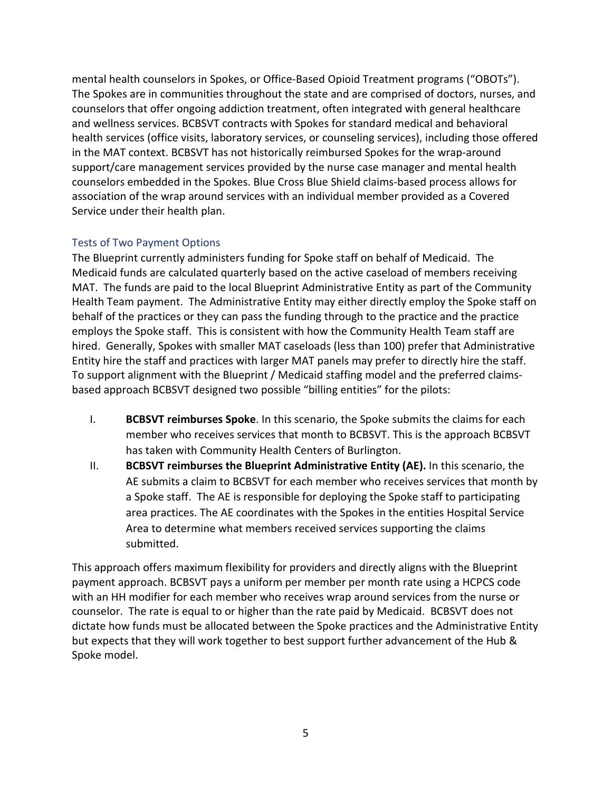mental health counselors in Spokes, or Office-Based Opioid Treatment programs ("OBOTs"). The Spokes are in communities throughout the state and are comprised of doctors, nurses, and counselors that offer ongoing addiction treatment, often integrated with general healthcare and wellness services. BCBSVT contracts with Spokes for standard medical and behavioral health services (office visits, laboratory services, or counseling services), including those offered in the MAT context. BCBSVT has not historically reimbursed Spokes for the wrap-around support/care management services provided by the nurse case manager and mental health counselors embedded in the Spokes. Blue Cross Blue Shield claims-based process allows for association of the wrap around services with an individual member provided as a Covered Service under their health plan.

### <span id="page-5-0"></span>Tests of Two Payment Options

The Blueprint currently administers funding for Spoke staff on behalf of Medicaid. The Medicaid funds are calculated quarterly based on the active caseload of members receiving MAT. The funds are paid to the local Blueprint Administrative Entity as part of the Community Health Team payment. The Administrative Entity may either directly employ the Spoke staff on behalf of the practices or they can pass the funding through to the practice and the practice employs the Spoke staff. This is consistent with how the Community Health Team staff are hired. Generally, Spokes with smaller MAT caseloads (less than 100) prefer that Administrative Entity hire the staff and practices with larger MAT panels may prefer to directly hire the staff. To support alignment with the Blueprint / Medicaid staffing model and the preferred claimsbased approach BCBSVT designed two possible "billing entities" for the pilots:

- I. **BCBSVT reimburses Spoke**. In this scenario, the Spoke submits the claims for each member who receives services that month to BCBSVT. This is the approach BCBSVT has taken with Community Health Centers of Burlington.
- II. **BCBSVT reimburses the Blueprint Administrative Entity (AE).** In this scenario, the AE submits a claim to BCBSVT for each member who receives services that month by a Spoke staff. The AE is responsible for deploying the Spoke staff to participating area practices. The AE coordinates with the Spokes in the entities Hospital Service Area to determine what members received services supporting the claims submitted.

This approach offers maximum flexibility for providers and directly aligns with the Blueprint payment approach. BCBSVT pays a uniform per member per month rate using a HCPCS code with an HH modifier for each member who receives wrap around services from the nurse or counselor. The rate is equal to or higher than the rate paid by Medicaid. BCBSVT does not dictate how funds must be allocated between the Spoke practices and the Administrative Entity but expects that they will work together to best support further advancement of the Hub & Spoke model.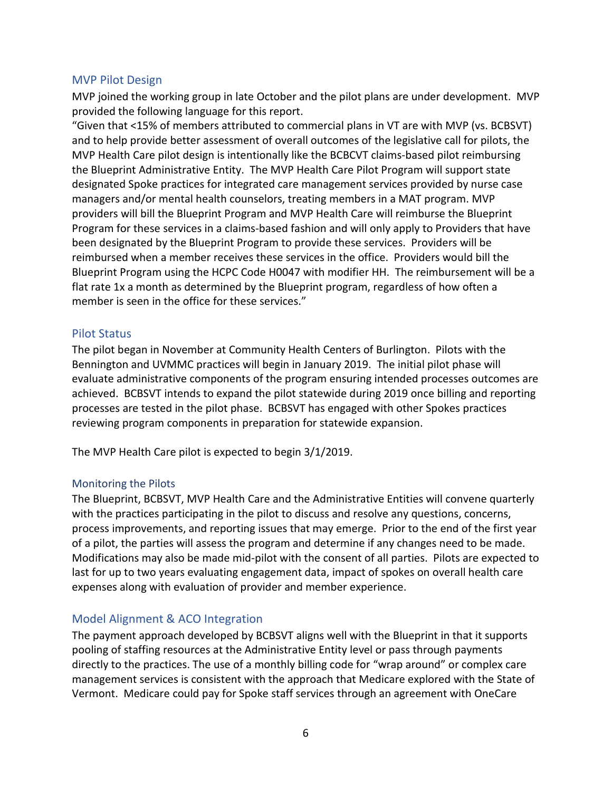#### <span id="page-6-0"></span>MVP Pilot Design

MVP joined the working group in late October and the pilot plans are under development. MVP provided the following language for this report.

"Given that <15% of members attributed to commercial plans in VT are with MVP (vs. BCBSVT) and to help provide better assessment of overall outcomes of the legislative call for pilots, the MVP Health Care pilot design is intentionally like the BCBCVT claims-based pilot reimbursing the Blueprint Administrative Entity. The MVP Health Care Pilot Program will support state designated Spoke practices for integrated care management services provided by nurse case managers and/or mental health counselors, treating members in a MAT program. MVP providers will bill the Blueprint Program and MVP Health Care will reimburse the Blueprint Program for these services in a claims-based fashion and will only apply to Providers that have been designated by the Blueprint Program to provide these services. Providers will be reimbursed when a member receives these services in the office. Providers would bill the Blueprint Program using the HCPC Code H0047 with modifier HH. The reimbursement will be a flat rate 1x a month as determined by the Blueprint program, regardless of how often a member is seen in the office for these services."

#### <span id="page-6-1"></span>Pilot Status

The pilot began in November at Community Health Centers of Burlington. Pilots with the Bennington and UVMMC practices will begin in January 2019. The initial pilot phase will evaluate administrative components of the program ensuring intended processes outcomes are achieved. BCBSVT intends to expand the pilot statewide during 2019 once billing and reporting processes are tested in the pilot phase. BCBSVT has engaged with other Spokes practices reviewing program components in preparation for statewide expansion.

The MVP Health Care pilot is expected to begin 3/1/2019.

#### <span id="page-6-2"></span>Monitoring the Pilots

The Blueprint, BCBSVT, MVP Health Care and the Administrative Entities will convene quarterly with the practices participating in the pilot to discuss and resolve any questions, concerns, process improvements, and reporting issues that may emerge. Prior to the end of the first year of a pilot, the parties will assess the program and determine if any changes need to be made. Modifications may also be made mid-pilot with the consent of all parties. Pilots are expected to last for up to two years evaluating engagement data, impact of spokes on overall health care expenses along with evaluation of provider and member experience.

### <span id="page-6-3"></span>Model Alignment & ACO Integration

The payment approach developed by BCBSVT aligns well with the Blueprint in that it supports pooling of staffing resources at the Administrative Entity level or pass through payments directly to the practices. The use of a monthly billing code for "wrap around" or complex care management services is consistent with the approach that Medicare explored with the State of Vermont. Medicare could pay for Spoke staff services through an agreement with OneCare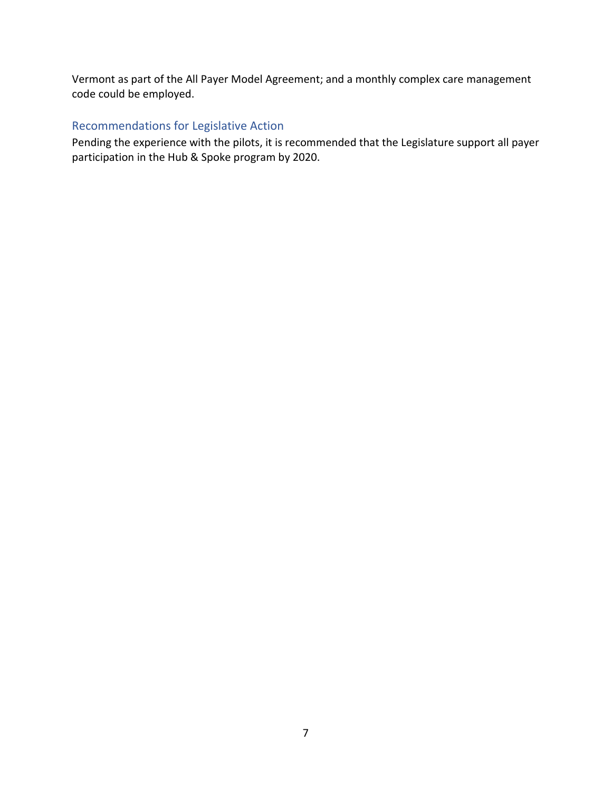Vermont as part of the All Payer Model Agreement; and a monthly complex care management code could be employed.

## <span id="page-7-0"></span>Recommendations for Legislative Action

Pending the experience with the pilots, it is recommended that the Legislature support all payer participation in the Hub & Spoke program by 2020.